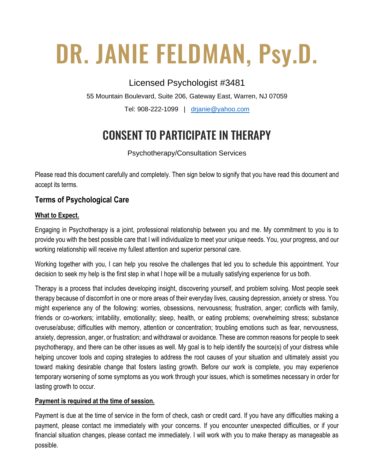# DR. JANIE FELDMAN, Psy.D.

# Licensed Psychologist #3481

55 Mountain Boulevard, Suite 206, Gateway East, Warren, NJ 07059

Tel: 908-222-1099 | [drjanie@yahoo.com](mailto:drjanie@yahoo.com)

# CONSENT TO PARTICIPATE IN THERAPY

Psychotherapy/Consultation Services

Please read this document carefully and completely. Then sign below to signify that you have read this document and accept its terms.

## **Terms of Psychological Care**

### **What to Expect.**

Engaging in Psychotherapy is a joint, professional relationship between you and me. My commitment to you is to provide you with the best possible care that I will individualize to meet your unique needs. You, your progress, and our working relationship will receive my fullest attention and superior personal care.

Working together with you, I can help you resolve the challenges that led you to schedule this appointment. Your decision to seek my help is the first step in what I hope will be a mutually satisfying experience for us both.

Therapy is a process that includes developing insight, discovering yourself, and problem solving. Most people seek therapy because of discomfort in one or more areas of their everyday lives, causing depression, anxiety or stress. You might experience any of the following: worries, obsessions, nervousness; frustration, anger; conflicts with family, friends or co-workers; irritability, emotionality; sleep, health, or eating problems; overwhelming stress; substance overuse/abuse; difficulties with memory, attention or concentration; troubling emotions such as fear, nervousness, anxiety, depression, anger, or frustration; and withdrawal or avoidance. These are common reasons for people to seek psychotherapy, and there can be other issues as well. My goal is to help identify the source(s) of your distress while helping uncover tools and coping strategies to address the root causes of your situation and ultimately assist you toward making desirable change that fosters lasting growth. Before our work is complete, you may experience temporary worsening of some symptoms as you work through your issues, which is sometimes necessary in order for lasting growth to occur.

#### **Payment is required at the time of session.**

Payment is due at the time of service in the form of check, cash or credit card. If you have any difficulties making a payment, please contact me immediately with your concerns. If you encounter unexpected difficulties, or if your financial situation changes, please contact me immediately. I will work with you to make therapy as manageable as possible.